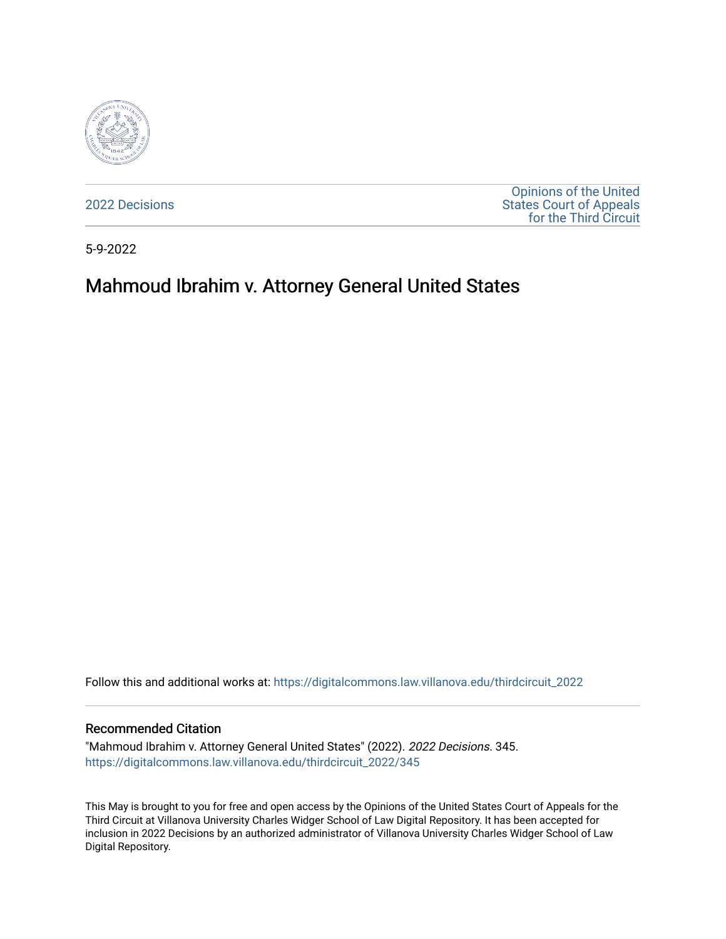

[2022 Decisions](https://digitalcommons.law.villanova.edu/thirdcircuit_2022)

[Opinions of the United](https://digitalcommons.law.villanova.edu/thirdcircuit)  [States Court of Appeals](https://digitalcommons.law.villanova.edu/thirdcircuit)  [for the Third Circuit](https://digitalcommons.law.villanova.edu/thirdcircuit) 

5-9-2022

# Mahmoud Ibrahim v. Attorney General United States

Follow this and additional works at: [https://digitalcommons.law.villanova.edu/thirdcircuit\\_2022](https://digitalcommons.law.villanova.edu/thirdcircuit_2022?utm_source=digitalcommons.law.villanova.edu%2Fthirdcircuit_2022%2F345&utm_medium=PDF&utm_campaign=PDFCoverPages) 

#### Recommended Citation

"Mahmoud Ibrahim v. Attorney General United States" (2022). 2022 Decisions. 345. [https://digitalcommons.law.villanova.edu/thirdcircuit\\_2022/345](https://digitalcommons.law.villanova.edu/thirdcircuit_2022/345?utm_source=digitalcommons.law.villanova.edu%2Fthirdcircuit_2022%2F345&utm_medium=PDF&utm_campaign=PDFCoverPages)

This May is brought to you for free and open access by the Opinions of the United States Court of Appeals for the Third Circuit at Villanova University Charles Widger School of Law Digital Repository. It has been accepted for inclusion in 2022 Decisions by an authorized administrator of Villanova University Charles Widger School of Law Digital Repository.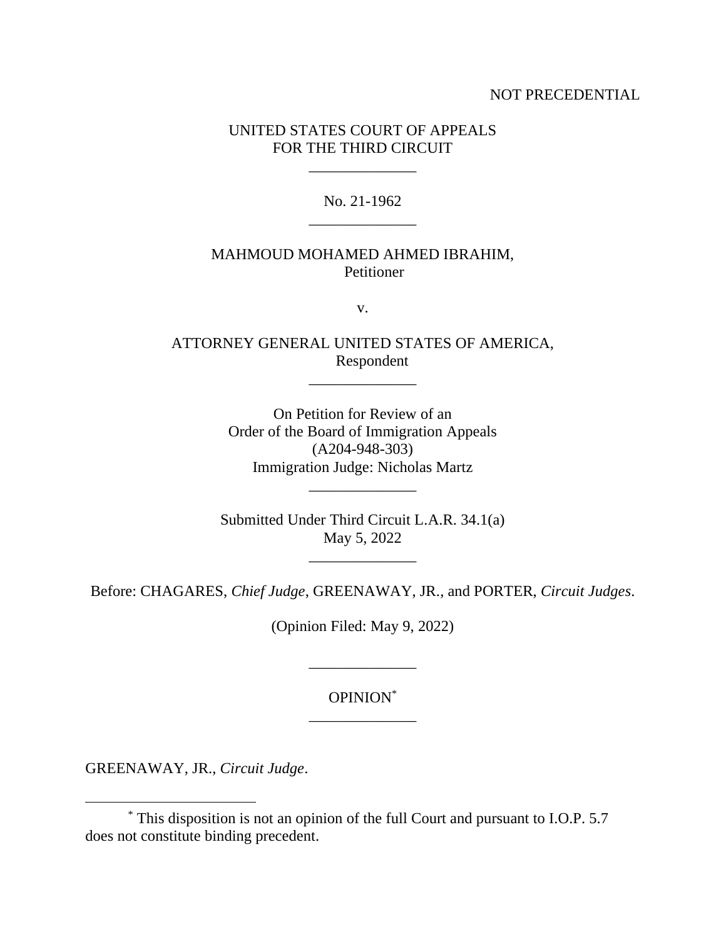## NOT PRECEDENTIAL

## UNITED STATES COURT OF APPEALS FOR THE THIRD CIRCUIT

\_\_\_\_\_\_\_\_\_\_\_\_\_\_

No. 21-1962 \_\_\_\_\_\_\_\_\_\_\_\_\_\_

## MAHMOUD MOHAMED AHMED IBRAHIM, Petitioner

v.

ATTORNEY GENERAL UNITED STATES OF AMERICA, Respondent

 $\mathcal{L}=\mathcal{L}^{\mathcal{L}}$ 

On Petition for Review of an Order of the Board of Immigration Appeals (A204-948-303) Immigration Judge: Nicholas Martz

Submitted Under Third Circuit L.A.R. 34.1(a) May 5, 2022

Before: CHAGARES, *Chief Judge*, GREENAWAY, JR., and PORTER, *Circuit Judges*.

(Opinion Filed: May 9, 2022)

\_\_\_\_\_\_\_\_\_\_\_\_\_\_

## OPINION\* \_\_\_\_\_\_\_\_\_\_\_\_\_\_

GREENAWAY, JR., *Circuit Judge*.

<sup>\*</sup> This disposition is not an opinion of the full Court and pursuant to I.O.P. 5.7 does not constitute binding precedent.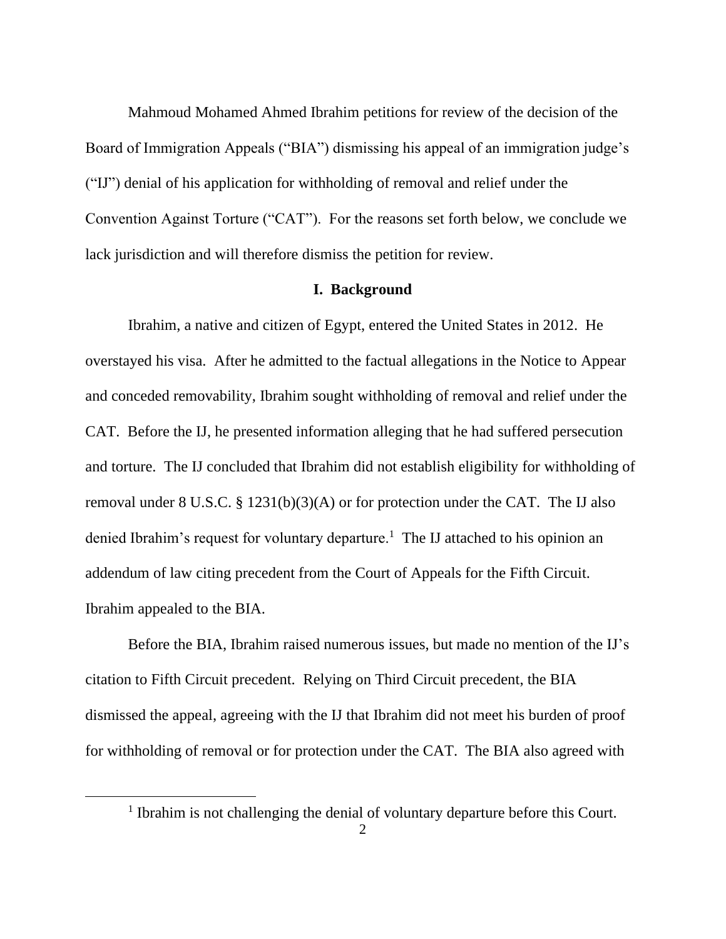Mahmoud Mohamed Ahmed Ibrahim petitions for review of the decision of the Board of Immigration Appeals ("BIA") dismissing his appeal of an immigration judge's ("IJ") denial of his application for withholding of removal and relief under the Convention Against Torture ("CAT"). For the reasons set forth below, we conclude we lack jurisdiction and will therefore dismiss the petition for review.

#### **I. Background**

Ibrahim, a native and citizen of Egypt, entered the United States in 2012. He overstayed his visa. After he admitted to the factual allegations in the Notice to Appear and conceded removability, Ibrahim sought withholding of removal and relief under the CAT. Before the IJ, he presented information alleging that he had suffered persecution and torture. The IJ concluded that Ibrahim did not establish eligibility for withholding of removal under 8 U.S.C. § 1231(b)(3)(A) or for protection under the CAT. The IJ also denied Ibrahim's request for voluntary departure.<sup>1</sup> The IJ attached to his opinion an addendum of law citing precedent from the Court of Appeals for the Fifth Circuit. Ibrahim appealed to the BIA.

Before the BIA, Ibrahim raised numerous issues, but made no mention of the IJ's citation to Fifth Circuit precedent. Relying on Third Circuit precedent, the BIA dismissed the appeal, agreeing with the IJ that Ibrahim did not meet his burden of proof for withholding of removal or for protection under the CAT. The BIA also agreed with

<sup>&</sup>lt;sup>1</sup> Ibrahim is not challenging the denial of voluntary departure before this Court.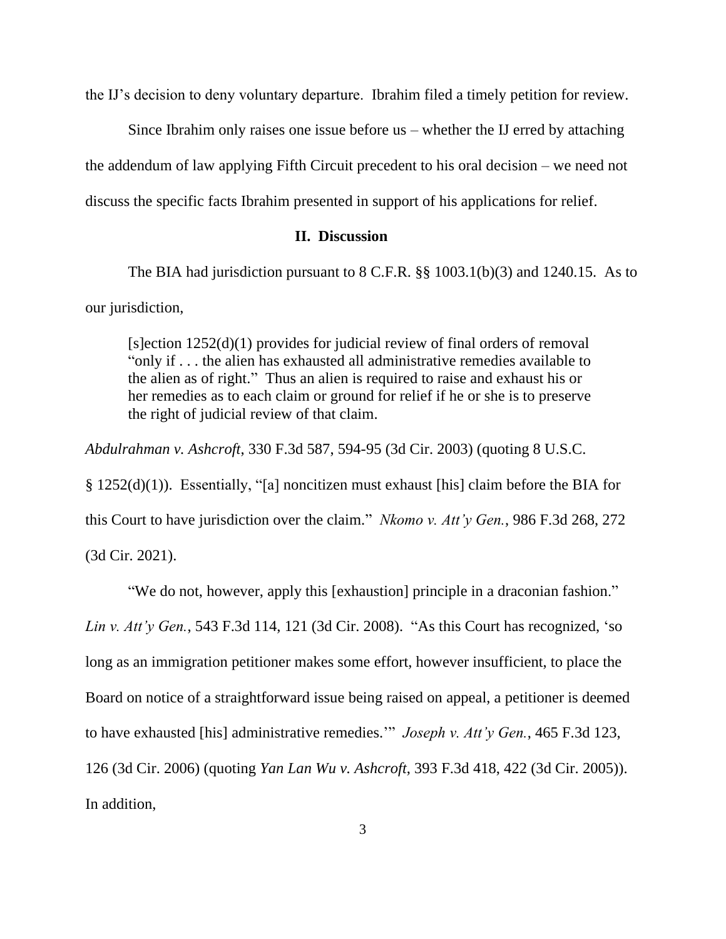the IJ's decision to deny voluntary departure. Ibrahim filed a timely petition for review.

Since Ibrahim only raises one issue before  $us$  – whether the IJ erred by attaching the addendum of law applying Fifth Circuit precedent to his oral decision – we need not discuss the specific facts Ibrahim presented in support of his applications for relief.

### **II. Discussion**

The BIA had jurisdiction pursuant to 8 C.F.R. §§ 1003.1(b)(3) and 1240.15. As to our jurisdiction,

[s]ection 1252(d)(1) provides for judicial review of final orders of removal "only if . . . the alien has exhausted all administrative remedies available to the alien as of right." Thus an alien is required to raise and exhaust his or her remedies as to each claim or ground for relief if he or she is to preserve the right of judicial review of that claim.

*Abdulrahman v. Ashcroft*, 330 F.3d 587, 594-95 (3d Cir. 2003) (quoting 8 U.S.C.

§ 1252(d)(1)). Essentially, "[a] noncitizen must exhaust [his] claim before the BIA for this Court to have jurisdiction over the claim." *Nkomo v. Att'y Gen.*, 986 F.3d 268, 272

(3d Cir. 2021).

"We do not, however, apply this [exhaustion] principle in a draconian fashion."

*Lin v. Att'y Gen.*, 543 F.3d 114, 121 (3d Cir. 2008). "As this Court has recognized, 'so

long as an immigration petitioner makes some effort, however insufficient, to place the

Board on notice of a straightforward issue being raised on appeal, a petitioner is deemed

to have exhausted [his] administrative remedies.'" *Joseph v. Att'y Gen.*, 465 F.3d 123,

126 (3d Cir. 2006) (quoting *Yan Lan Wu v. Ashcroft*, 393 F.3d 418, 422 (3d Cir. 2005)).

In addition,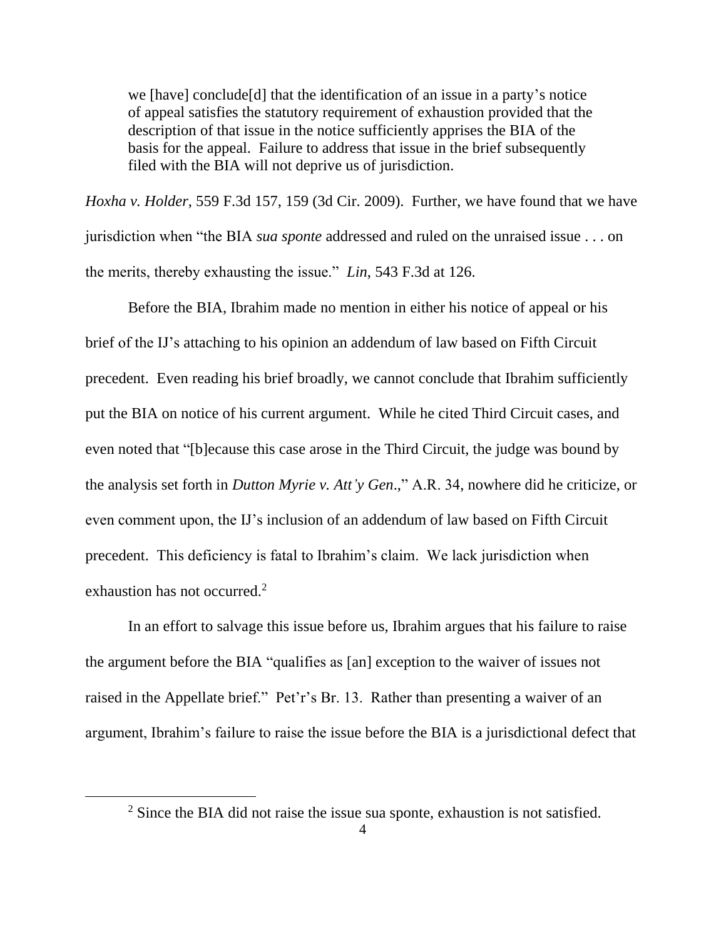we [have] conclude[d] that the identification of an issue in a party's notice of appeal satisfies the statutory requirement of exhaustion provided that the description of that issue in the notice sufficiently apprises the BIA of the basis for the appeal. Failure to address that issue in the brief subsequently filed with the BIA will not deprive us of jurisdiction.

*Hoxha v. Holder*, 559 F.3d 157, 159 (3d Cir. 2009). Further, we have found that we have jurisdiction when "the BIA *sua sponte* addressed and ruled on the unraised issue . . . on the merits, thereby exhausting the issue." *Lin*, 543 F.3d at 126.

Before the BIA, Ibrahim made no mention in either his notice of appeal or his brief of the IJ's attaching to his opinion an addendum of law based on Fifth Circuit precedent. Even reading his brief broadly, we cannot conclude that Ibrahim sufficiently put the BIA on notice of his current argument. While he cited Third Circuit cases, and even noted that "[b]ecause this case arose in the Third Circuit, the judge was bound by the analysis set forth in *Dutton Myrie v. Att'y Gen*.," A.R. 34, nowhere did he criticize, or even comment upon, the IJ's inclusion of an addendum of law based on Fifth Circuit precedent. This deficiency is fatal to Ibrahim's claim. We lack jurisdiction when exhaustion has not occurred.<sup>2</sup>

In an effort to salvage this issue before us, Ibrahim argues that his failure to raise the argument before the BIA "qualifies as [an] exception to the waiver of issues not raised in the Appellate brief." Pet'r's Br. 13. Rather than presenting a waiver of an argument, Ibrahim's failure to raise the issue before the BIA is a jurisdictional defect that

<sup>&</sup>lt;sup>2</sup> Since the BIA did not raise the issue sua sponte, exhaustion is not satisfied.